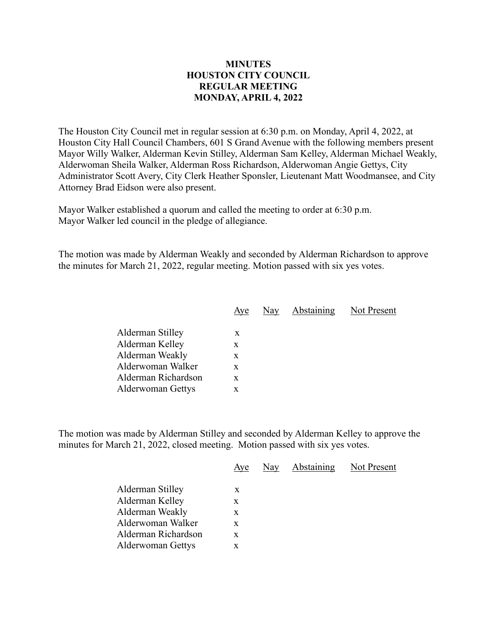## **MINUTES HOUSTON CITY COUNCIL REGULAR MEETING MONDAY, APRIL 4, 2022**

The Houston City Council met in regular session at 6:30 p.m. on Monday, April 4, 2022, at Houston City Hall Council Chambers, 601 S Grand Avenue with the following members present Mayor Willy Walker, Alderman Kevin Stilley, Alderman Sam Kelley, Alderman Michael Weakly, Alderwoman Sheila Walker, Alderman Ross Richardson, Alderwoman Angie Gettys, City Administrator Scott Avery, City Clerk Heather Sponsler, Lieutenant Matt Woodmansee, and City Attorney Brad Eidson were also present.

Mayor Walker established a quorum and called the meeting to order at 6:30 p.m. Mayor Walker led council in the pledge of allegiance.

The motion was made by Alderman Weakly and seconded by Alderman Richardson to approve the minutes for March 21, 2022, regular meeting. Motion passed with six yes votes.

| Aye | Nay | Not Present |
|-----|-----|-------------|
|     |     |             |
| X   |     |             |
| X   |     |             |
| x   |     |             |
| X   |     |             |
| X   |     |             |
| x   |     |             |
|     |     | Abstaining  |

The motion was made by Alderman Stilley and seconded by Alderman Kelley to approve the minutes for March 21, 2022, closed meeting. Motion passed with six yes votes.

|                          | Aye | Nay | Abstaining | Not Present |
|--------------------------|-----|-----|------------|-------------|
| Alderman Stilley         | X   |     |            |             |
| Alderman Kelley          | X   |     |            |             |
| Alderman Weakly          | X   |     |            |             |
| Alderwoman Walker        | X   |     |            |             |
| Alderman Richardson      | X   |     |            |             |
| <b>Alderwoman Gettys</b> | X   |     |            |             |
|                          |     |     |            |             |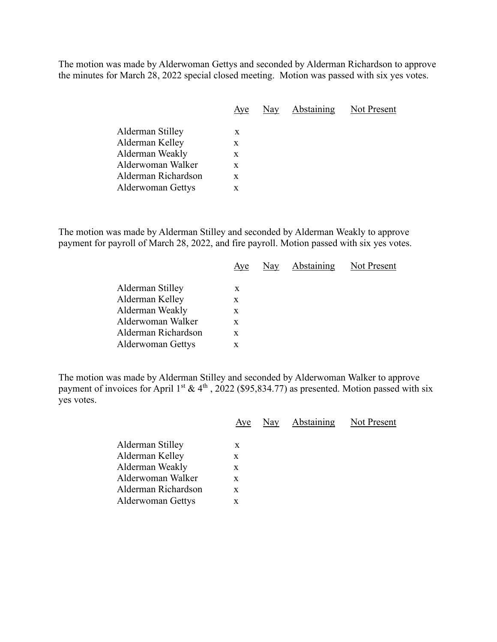The motion was made by Alderwoman Gettys and seconded by Alderman Richardson to approve the minutes for March 28, 2022 special closed meeting. Motion was passed with six yes votes.

| Aye | Nay | Abstaining | Not Present |
|-----|-----|------------|-------------|
|     |     |            |             |
| X   |     |            |             |
| X   |     |            |             |
| X   |     |            |             |
| X   |     |            |             |
| X   |     |            |             |
|     | X   |            |             |

The motion was made by Alderman Stilley and seconded by Alderman Weakly to approve payment for payroll of March 28, 2022, and fire payroll. Motion passed with six yes votes.

|                          |   | Aye Nay Abstaining | Not Present |
|--------------------------|---|--------------------|-------------|
| Alderman Stilley         |   |                    |             |
|                          | X |                    |             |
| Alderman Kelley          | X |                    |             |
| Alderman Weakly          | X |                    |             |
| Alderwoman Walker        | X |                    |             |
| Alderman Richardson      | X |                    |             |
| <b>Alderwoman Gettys</b> | X |                    |             |
|                          |   |                    |             |

The motion was made by Alderman Stilley and seconded by Alderwoman Walker to approve payment of invoices for April 1<sup>st</sup> & 4<sup>th</sup>, 2022 (\$95,834.77) as presented. Motion passed with six yes votes.

|                     | Aye | Nay Abstaining Not Present |  |
|---------------------|-----|----------------------------|--|
| Alderman Stilley    | X   |                            |  |
| Alderman Kelley     | X   |                            |  |
| Alderman Weakly     | X   |                            |  |
| Alderwoman Walker   | X   |                            |  |
| Alderman Richardson | X   |                            |  |
| Alderwoman Gettys   | X   |                            |  |
|                     |     |                            |  |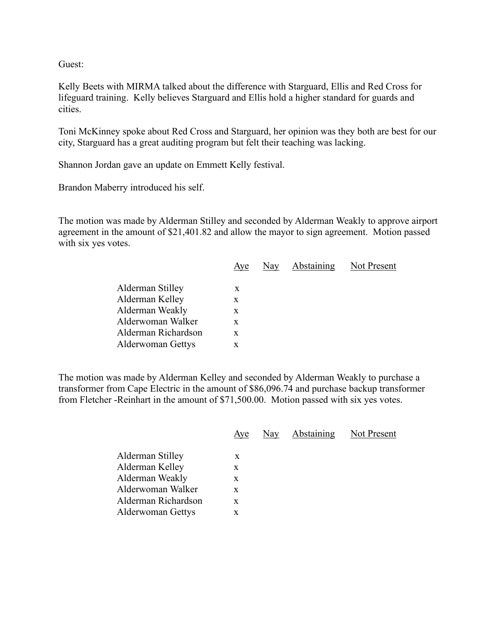Guest:

Kelly Beets with MIRMA talked about the difference with Starguard, Ellis and Red Cross for lifeguard training. Kelly believes Starguard and Ellis hold a higher standard for guards and cities.

Toni McKinney spoke about Red Cross and Starguard, her opinion was they both are best for our city, Starguard has a great auditing program but felt their teaching was lacking.

Shannon Jordan gave an update on Emmett Kelly festival.

Brandon Maberry introduced his self.

The motion was made by Alderman Stilley and seconded by Alderman Weakly to approve airport agreement in the amount of \$21,401.82 and allow the mayor to sign agreement. Motion passed with six yes votes.

|                          | Aye | Nay Abstaining | Not Present |
|--------------------------|-----|----------------|-------------|
| Alderman Stilley         | X   |                |             |
| Alderman Kelley          | X   |                |             |
| Alderman Weakly          | X   |                |             |
| Alderwoman Walker        | X   |                |             |
| Alderman Richardson      | X   |                |             |
| <b>Alderwoman Gettys</b> | x   |                |             |
|                          |     |                |             |

The motion was made by Alderman Kelley and seconded by Alderman Weakly to purchase a transformer from Cape Electric in the amount of \$86,096.74 and purchase backup transformer from Fletcher -Reinhart in the amount of \$71,500.00. Motion passed with six yes votes.

|                          | Aye | Nay | Abstaining | Not Present |
|--------------------------|-----|-----|------------|-------------|
| Alderman Stilley         | X   |     |            |             |
| Alderman Kelley          | X   |     |            |             |
| Alderman Weakly          | X   |     |            |             |
| Alderwoman Walker        | X   |     |            |             |
| Alderman Richardson      | X   |     |            |             |
| <b>Alderwoman Gettys</b> | X   |     |            |             |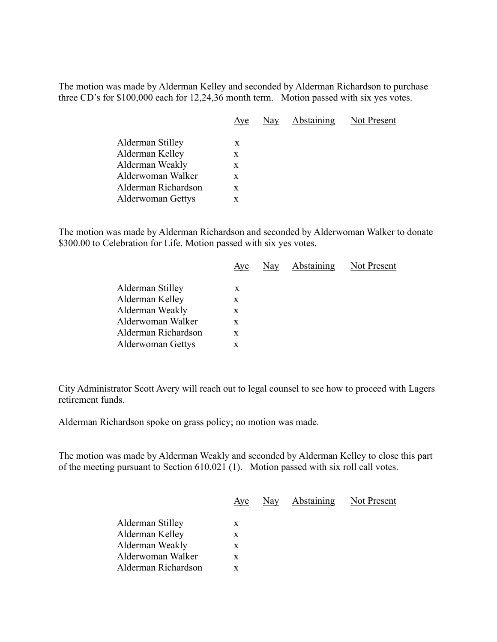The motion was made by Alderman Kelley and seconded by Alderman Richardson to purchase three CD's for \$100,000 each for 12,24,36 month term. Motion passed with six yes votes.

|                     | Aye | Nay Abstaining Not Present |  |
|---------------------|-----|----------------------------|--|
| Alderman Stilley    | X   |                            |  |
| Alderman Kelley     | X   |                            |  |
| Alderman Weakly     | X   |                            |  |
| Alderwoman Walker   | X   |                            |  |
| Alderman Richardson | X   |                            |  |
| Alderwoman Gettys   | X   |                            |  |
|                     |     |                            |  |

The motion was made by Alderman Richardson and seconded by Alderwoman Walker to donate \$300.00 to Celebration for Life. Motion passed with six yes votes.

|                          | Aye |  | Nay Abstaining Not Present |
|--------------------------|-----|--|----------------------------|
| Alderman Stilley         | X   |  |                            |
| Alderman Kelley          | X   |  |                            |
| Alderman Weakly          | X   |  |                            |
| Alderwoman Walker        | X   |  |                            |
| Alderman Richardson      | X   |  |                            |
| <b>Alderwoman Gettys</b> | X   |  |                            |
|                          |     |  |                            |

City Administrator Scott Avery will reach out to legal counsel to see how to proceed with Lagers retirement funds.

Alderman Richardson spoke on grass policy; no motion was made.

The motion was made by Alderman Weakly and seconded by Alderman Kelley to close this part of the meeting pursuant to Section 610.021 (1). Motion passed with six roll call votes.

|                     | Aye | Nay Abstaining Not Present |  |
|---------------------|-----|----------------------------|--|
| Alderman Stilley    | X   |                            |  |
| Alderman Kelley     | X   |                            |  |
| Alderman Weakly     | X   |                            |  |
| Alderwoman Walker   | X   |                            |  |
| Alderman Richardson |     |                            |  |
|                     |     |                            |  |